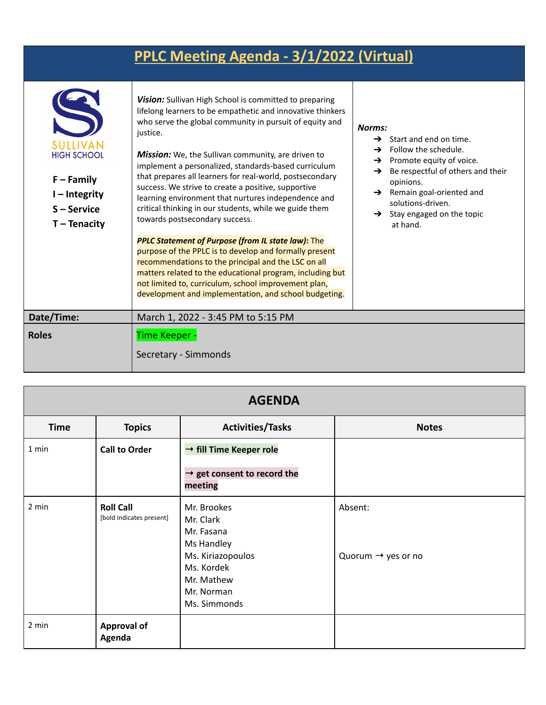## **PPLC Meeting Agenda - 3/1/2022 (Virtual)**

| SUITIVAN<br><b>HIGH SCHOOL</b><br>$F - Family$<br>$I$ – Integrity<br>S-Service<br>$T - Tenacity$ | <b>Vision:</b> Sullivan High School is committed to preparing<br>lifelong learners to be empathetic and innovative thinkers<br>who serve the global community in pursuit of equity and<br>justice.<br><b>Mission:</b> We, the Sullivan community, are driven to<br>implement a personalized, standards-based curriculum<br>that prepares all learners for real-world, postsecondary<br>success. We strive to create a positive, supportive<br>learning environment that nurtures independence and<br>critical thinking in our students, while we guide them<br>towards postsecondary success. | Norms:<br>Start and end on time.<br>$\rightarrow$<br>Follow the schedule.<br>$\rightarrow$<br>Promote equity of voice.<br>→<br>Be respectful of others and their<br>→<br>opinions.<br>Remain goal-oriented and<br>$\rightarrow$<br>solutions-driven.<br>$\rightarrow$ Stay engaged on the topic<br>at hand. |  |
|--------------------------------------------------------------------------------------------------|-----------------------------------------------------------------------------------------------------------------------------------------------------------------------------------------------------------------------------------------------------------------------------------------------------------------------------------------------------------------------------------------------------------------------------------------------------------------------------------------------------------------------------------------------------------------------------------------------|-------------------------------------------------------------------------------------------------------------------------------------------------------------------------------------------------------------------------------------------------------------------------------------------------------------|--|
|                                                                                                  | <b>PPLC Statement of Purpose (from IL state law): The</b><br>purpose of the PPLC is to develop and formally present<br>recommendations to the principal and the LSC on all<br>matters related to the educational program, including but<br>not limited to, curriculum, school improvement plan,<br>development and implementation, and school budgeting.                                                                                                                                                                                                                                      |                                                                                                                                                                                                                                                                                                             |  |
| Date/Time:                                                                                       | March 1, 2022 - 3:45 PM to 5:15 PM                                                                                                                                                                                                                                                                                                                                                                                                                                                                                                                                                            |                                                                                                                                                                                                                                                                                                             |  |
| <b>Roles</b>                                                                                     | <b>Time Keeper -</b><br>Secretary - Simmonds                                                                                                                                                                                                                                                                                                                                                                                                                                                                                                                                                  |                                                                                                                                                                                                                                                                                                             |  |

| <b>AGENDA</b> |                                              |                                                                                                                                     |                                           |
|---------------|----------------------------------------------|-------------------------------------------------------------------------------------------------------------------------------------|-------------------------------------------|
| <b>Time</b>   | <b>Topics</b>                                | <b>Activities/Tasks</b>                                                                                                             | <b>Notes</b>                              |
| 1 min         | <b>Call to Order</b>                         | $\rightarrow$ fill Time Keeper role<br>$\rightarrow$ get consent to record the<br>meeting                                           |                                           |
| 2 min         | <b>Roll Call</b><br>[bold indicates present] | Mr. Brookes<br>Mr. Clark<br>Mr. Fasana<br>Ms Handley<br>Ms. Kiriazopoulos<br>Ms. Kordek<br>Mr. Mathew<br>Mr. Norman<br>Ms. Simmonds | Absent:<br>Quorum $\rightarrow$ yes or no |
| 2 min         | <b>Approval of</b><br>Agenda                 |                                                                                                                                     |                                           |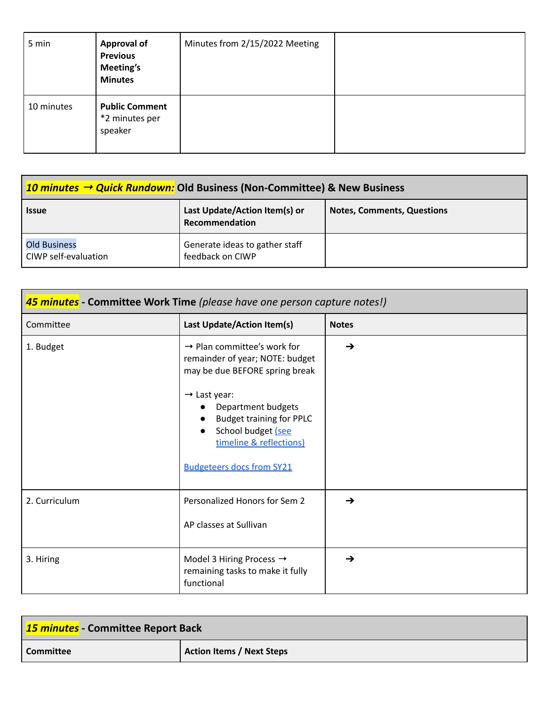| 5 min      | <b>Approval of</b><br><b>Previous</b><br><b>Meeting's</b><br><b>Minutes</b> | Minutes from 2/15/2022 Meeting |  |
|------------|-----------------------------------------------------------------------------|--------------------------------|--|
| 10 minutes | <b>Public Comment</b><br>*2 minutes per<br>speaker                          |                                |  |

| 10 minutes $\rightarrow$ Quick Rundown: Old Business (Non-Committee) & New Business |                                                    |                                   |
|-------------------------------------------------------------------------------------|----------------------------------------------------|-----------------------------------|
| <b>Issue</b>                                                                        | Last Update/Action Item(s) or<br>Recommendation    | <b>Notes, Comments, Questions</b> |
| <b>Old Business</b><br>CIWP self-evaluation                                         | Generate ideas to gather staff<br>feedback on CIWP |                                   |

| 45 minutes - Committee Work Time (please have one person capture notes!) |                                                                                                                                                                                                                                                                                        |               |
|--------------------------------------------------------------------------|----------------------------------------------------------------------------------------------------------------------------------------------------------------------------------------------------------------------------------------------------------------------------------------|---------------|
| Committee                                                                | Last Update/Action Item(s)                                                                                                                                                                                                                                                             | <b>Notes</b>  |
| 1. Budget                                                                | $\rightarrow$ Plan committee's work for<br>remainder of year; NOTE: budget<br>may be due BEFORE spring break<br>$\rightarrow$ Last year:<br>Department budgets<br><b>Budget training for PPLC</b><br>School budget (see<br>timeline & reflections)<br><b>Budgeteers docs from SY21</b> | $\rightarrow$ |
| 2. Curriculum                                                            | Personalized Honors for Sem 2<br>AP classes at Sullivan                                                                                                                                                                                                                                | $\rightarrow$ |
| 3. Hiring                                                                | Model 3 Hiring Process $\rightarrow$<br>remaining tasks to make it fully<br>functional                                                                                                                                                                                                 | $\rightarrow$ |

| <b>15 minutes</b> - Committee Report Back |                                  |  |
|-------------------------------------------|----------------------------------|--|
| <b>Committee</b>                          | <b>Action Items / Next Steps</b> |  |